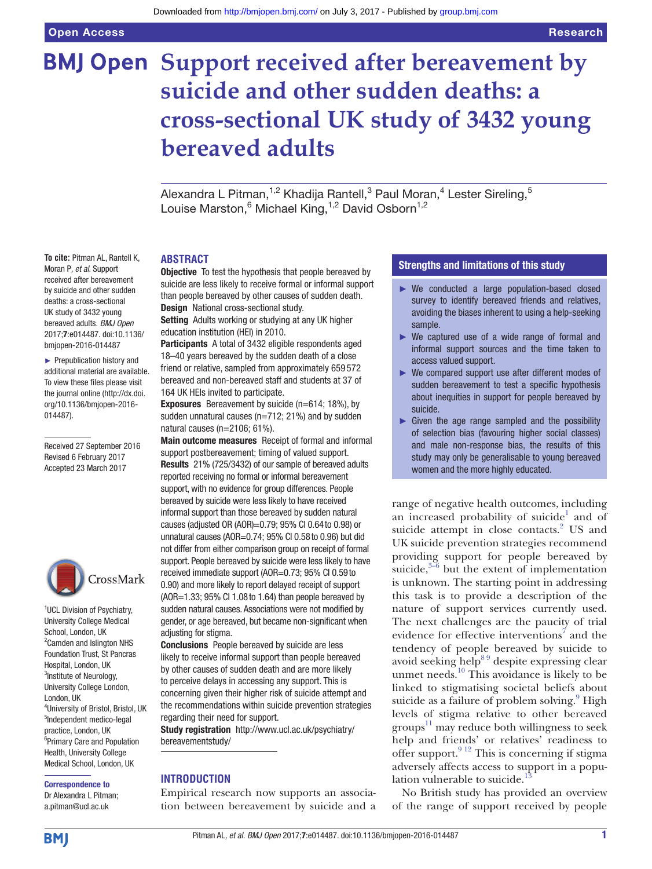# **BMJ Open** Support received after bereavement by **suicide and other sudden deaths: a cross-sectional UK study of 3432 young bereaved adults**

Alexandra L Pitman, $^{1,2}$  Khadija Rantell, $^3$  Paul Moran, $^4$  Lester Sireling, $^5$ Louise Marston, <sup>6</sup> Michael King, <sup>1,2</sup> David Osborn<sup>1,2</sup>

# **Abstract**

**Objective** To test the hypothesis that people bereaved by suicide are less likely to receive formal or informal support than people bereaved by other causes of sudden death. Design National cross-sectional study.

Setting Adults working or studying at any UK higher education institution (HEI) in 2010.

Participants A total of 3432 eligible respondents aged 18–40 years bereaved by the sudden death of a close friend or relative, sampled from approximately 659 572 bereaved and non-bereaved staff and students at 37 of 164 UK HEIs invited to participate.

Exposures Bereavement by suicide (n=614; 18%), by sudden unnatural causes (n=712; 21%) and by sudden natural causes (n=2106; 61%).

Main outcome measures Receipt of formal and informal support postbereavement; timing of valued support. Results 21% (725/3432) of our sample of bereaved adults reported receiving no formal or informal bereavement support, with no evidence for group differences. People bereaved by suicide were less likely to have received informal support than those bereaved by sudden natural causes (adjusted OR (AOR)=0.79; 95% CI 0.64to 0.98) or unnatural causes (AOR=0.74; 95% CI 0.58to 0.96) but did not differ from either comparison group on receipt of formal support. People bereaved by suicide were less likely to have received immediate support (AOR=0.73; 95% CI 0.59to 0.90) and more likely to report delayed receipt of support (AOR=1.33; 95% CI 1.08to 1.64) than people bereaved by sudden natural causes. Associations were not modified by gender, or age bereaved, but became non-significant when adjusting for stigma.

Conclusions People bereaved by suicide are less likely to receive informal support than people bereaved by other causes of sudden death and are more likely to perceive delays in accessing any support. This is concerning given their higher risk of suicide attempt and the recommendations within suicide prevention strategies regarding their need for support.

Study registration [http://www.ucl.ac.uk/psychiatry/](http://www.ucl.ac.uk/psychiatry/bereavementstudy/) [bereavementstudy/](http://www.ucl.ac.uk/psychiatry/bereavementstudy/)

# **Introduction**

Empirical research now supports an association between bereavement by suicide and a

# Strengths and limitations of this study

- ► We conducted a large population-based closed survey to identify bereaved friends and relatives, avoiding the biases inherent to using a help-seeking sample.
- ► We captured use of a wide range of formal and informal support sources and the time taken to access valued support.
- ► We compared support use after different modes of sudden bereavement to test a specific hypothesis about inequities in support for people bereaved by suicide.
- $\triangleright$  Given the age range sampled and the possibility of selection bias (favouring higher social classes) and male non-response bias, the results of this study may only be generalisable to young bereaved women and the more highly educated.

range of negative health outcomes, including an increased probability of suicide<sup>1</sup> and of suicide attempt in close contacts.<sup>[2](#page-10-1)</sup> US and UK suicide prevention strategies recommend providing support for people bereaved by suicide, $3-6$  but the extent of implementation is unknown. The starting point in addressing this task is to provide a description of the nature of support services currently used. The next challenges are the paucity of trial evidence for effective interventions<sup>[7](#page-11-1)</sup> and the tendency of people bereaved by suicide to avoid seeking help<sup>89</sup> despite expressing clear unmet needs.<sup>10</sup> This avoidance is likely to be linked to stigmatising societal beliefs about suicide as a failure of problem solving.<sup>[9](#page-11-4)</sup> High levels of stigma relative to other bereaved groups [11](#page-11-5) may reduce both willingness to seek help and friends' or relatives' readiness to offer support. $9^{12}$  This is concerning if stigma adversely affects access to support in a popu-lation vulnerable to suicide.<sup>[13](#page-11-6)</sup>

No British study has provided an overview of the range of support received by people

**To cite:** Pitman AL, Rantell K, Moran P*, et al*. Support received after bereavement by suicide and other sudden deaths: a cross-sectional UK study of 3432 young bereaved adults. *BMJ Open* 2017;7:e014487. doi:10.1136/ bmjopen-2016-014487

► Prepublication history and additional material are available. To view these files please visit the journal online (http://dx.doi. org/10.1136/bmjopen-2016- 014487).

Received 27 September 2016 Revised 6 February 2017 Accepted 23 March 2017



<sup>1</sup>UCL Division of Psychiatry, University College Medical School, London, UK <sup>2</sup> Camden and Islington NHS Foundation Trust, St Pancras Hospital, London, UK <sup>3</sup>Institute of Neurology, University College London, London, UK 4 University of Bristol, Bristol, UK 5 Independent medico-legal practice, London, UK 6 Primary Care and Population Health, University College Medical School, London, UK

Correspondence to Dr Alexandra L Pitman; a.pitman@ucl.ac.uk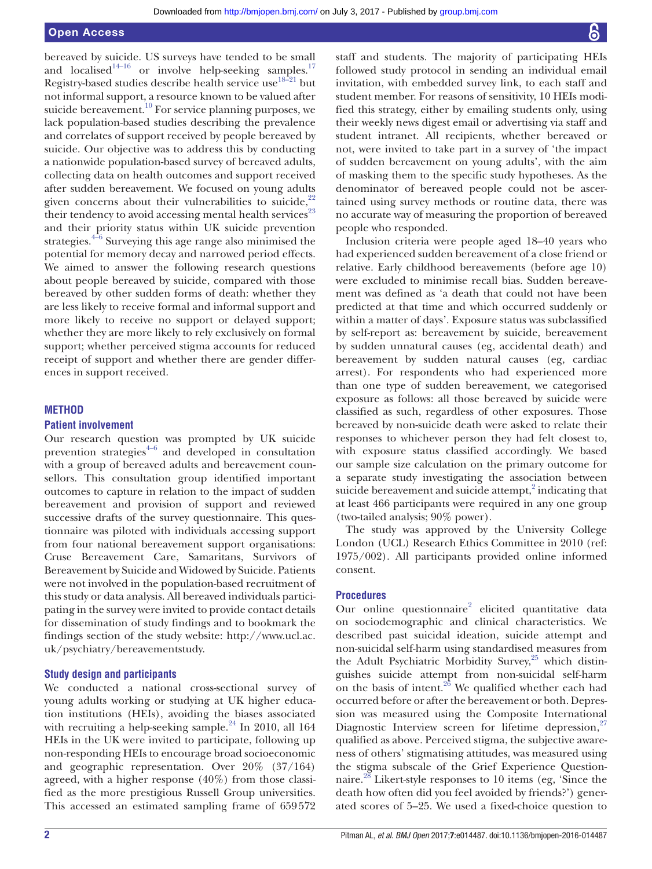bereaved by suicide. US surveys have tended to be small and localised<sup>14–16</sup> or involve help-seeking samples.<sup>17</sup> Registry-based studies describe health service use<sup>18-21</sup> but not informal support, a resource known to be valued after suicide bereavement.<sup>[10](#page-11-3)</sup> For service planning purposes, we lack population-based studies describing the prevalence and correlates of support received by people bereaved by suicide. Our objective was to address this by conducting a nationwide population-based survey of bereaved adults, collecting data on health outcomes and support received after sudden bereavement. We focused on young adults given concerns about their vulnerabilities to suicide, $22$ their tendency to avoid accessing mental health services<sup>[23](#page-11-11)</sup> and their priority status within UK suicide prevention strategies. $4\frac{4}{6}$  Surveying this age range also minimised the potential for memory decay and narrowed period effects. We aimed to answer the following research questions about people bereaved by suicide, compared with those bereaved by other sudden forms of death: whether they are less likely to receive formal and informal support and more likely to receive no support or delayed support; whether they are more likely to rely exclusively on formal support; whether perceived stigma accounts for reduced receipt of support and whether there are gender differences in support received.

# **Method**

### **Patient involvement**

Our research question was prompted by UK suicide prevention strategies $4-6$  and developed in consultation with a group of bereaved adults and bereavement counsellors. This consultation group identified important outcomes to capture in relation to the impact of sudden bereavement and provision of support and reviewed successive drafts of the survey questionnaire. This questionnaire was piloted with individuals accessing support from four national bereavement support organisations: Cruse Bereavement Care, Samaritans, Survivors of Bereavement by Suicide and Widowed by Suicide. Patients were not involved in the population-based recruitment of this study or data analysis. All bereaved individuals participating in the survey were invited to provide contact details for dissemination of study findings and to bookmark the findings section of the study website: [http://www.ucl.ac.](http://www.ucl.ac.uk/psychiatry/bereavementstudy) [uk/psychiatry/bereavementstudy.](http://www.ucl.ac.uk/psychiatry/bereavementstudy)

# **Study design and participants**

We conducted a national cross-sectional survey of young adults working or studying at UK higher education institutions (HEIs), avoiding the biases associated with recruiting a help-seeking sample. $^{24}$  In 2010, all 164 HEIs in the UK were invited to participate, following up non-responding HEIs to encourage broad socioeconomic and geographic representation. Over 20% (37/164) agreed, with a higher response (40%) from those classified as the more prestigious Russell Group universities. This accessed an estimated sampling frame of 659572

staff and students. The majority of participating HEIs followed study protocol in sending an individual email invitation, with embedded survey link, to each staff and student member. For reasons of sensitivity, 10 HEIs modified this strategy, either by emailing students only, using their weekly news digest email or advertising via staff and student intranet. All recipients, whether bereaved or not, were invited to take part in a survey of 'the impact of sudden bereavement on young adults', with the aim of masking them to the specific study hypotheses. As the denominator of bereaved people could not be ascertained using survey methods or routine data, there was no accurate way of measuring the proportion of bereaved people who responded.

Inclusion criteria were people aged 18–40 years who had experienced sudden bereavement of a close friend or relative. Early childhood bereavements (before age 10) were excluded to minimise recall bias. Sudden bereavement was defined as 'a death that could not have been predicted at that time and which occurred suddenly or within a matter of days'. Exposure status was subclassified by self-report as: bereavement by suicide, bereavement by sudden unnatural causes (eg, accidental death) and bereavement by sudden natural causes (eg, cardiac arrest). For respondents who had experienced more than one type of sudden bereavement, we categorised exposure as follows: all those bereaved by suicide were classified as such, regardless of other exposures. Those bereaved by non-suicide death were asked to relate their responses to whichever person they had felt closest to, with exposure status classified accordingly. We based our sample size calculation on the primary outcome for a separate study investigating the association between suicide bereavement and suicide attempt, $2$  indicating that at least 466 participants were required in any one group (two-tailed analysis; 90% power).

The study was approved by the University College London (UCL) Research Ethics Committee in 2010 (ref: 1975/002). All participants provided online informed consent.

# **Procedures**

Our online questionnaire<sup>[2](#page-10-1)</sup> elicited quantitative data on sociodemographic and clinical characteristics. We described past suicidal ideation, suicide attempt and non-suicidal self-harm using standardised measures from the Adult Psychiatric Morbidity Survey, $25$  which distinguishes suicide attempt from non-suicidal self-harm on the basis of intent. $^{26}$  $^{26}$  $^{26}$  We qualified whether each had occurred before or after the bereavement or both. Depression was measured using the Composite International Diagnostic Interview screen for lifetime depression,  $27$ qualified as above. Perceived stigma, the subjective awareness of others' stigmatising attitudes, was measured using the stigma subscale of the Grief Experience Questionnaire.<sup>28</sup> Likert-style responses to 10 items (eg, 'Since the death how often did you feel avoided by friends?') generated scores of 5–25. We used a fixed-choice question to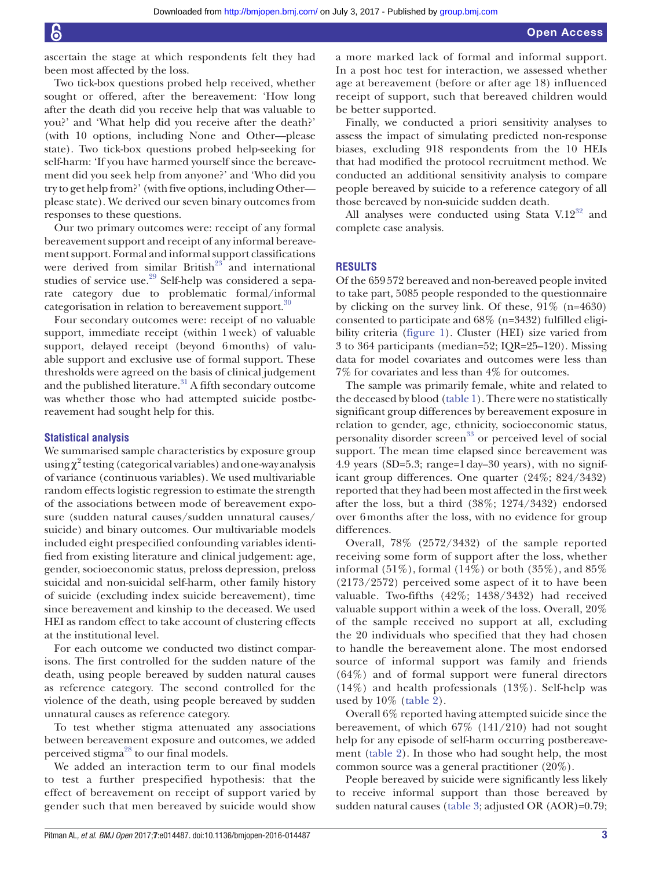Two tick-box questions probed help received, whether sought or offered, after the bereavement: 'How long after the death did you receive help that was valuable to you?' and 'What help did you receive after the death?' (with 10 options, including None and Other—please state). Two tick-box questions probed help-seeking for self-harm: 'If you have harmed yourself since the bereavement did you seek help from anyone?' and 'Who did you try to get help from?' (with five options, including Other please state). We derived our seven binary outcomes from responses to these questions.

Our two primary outcomes were: receipt of any formal bereavement support and receipt of any informal bereavement support. Formal and informal support classifications were derived from similar British $23$  and international studies of service use.<sup>[29](#page-11-18)</sup> Self-help was considered a separate category due to problematic formal/informal categorisation in relation to bereavement support.<sup>30</sup>

Four secondary outcomes were: receipt of no valuable support, immediate receipt (within 1week) of valuable support, delayed receipt (beyond 6months) of valuable support and exclusive use of formal support. These thresholds were agreed on the basis of clinical judgement and the published literature.<sup>31</sup> A fifth secondary outcome was whether those who had attempted suicide postbereavement had sought help for this.

# **Statistical analysis**

We summarised sample characteristics by exposure group  $using \chi^2$  testing (categorical variables) and one-way analysis of variance (continuous variables). We used multivariable random effects logistic regression to estimate the strength of the associations between mode of bereavement exposure (sudden natural causes/sudden unnatural causes/ suicide) and binary outcomes. Our multivariable models included eight prespecified confounding variables identified from existing literature and clinical judgement: age, gender, socioeconomic status, preloss depression, preloss suicidal and non-suicidal self-harm, other family history of suicide (excluding index suicide bereavement), time since bereavement and kinship to the deceased. We used HEI as random effect to take account of clustering effects at the institutional level.

For each outcome we conducted two distinct comparisons. The first controlled for the sudden nature of the death, using people bereaved by sudden natural causes as reference category. The second controlled for the violence of the death, using people bereaved by sudden unnatural causes as reference category.

To test whether stigma attenuated any associations between bereavement exposure and outcomes, we added perceived stigma<sup>28</sup> to our final models.

We added an interaction term to our final models to test a further prespecified hypothesis: that the effect of bereavement on receipt of support varied by gender such that men bereaved by suicide would show

a more marked lack of formal and informal support. In a post hoc test for interaction, we assessed whether age at bereavement (before or after age 18) influenced receipt of support, such that bereaved children would be better supported.

Finally, we conducted a priori sensitivity analyses to assess the impact of simulating predicted non-response biases, excluding 918 respondents from the 10 HEIs that had modified the protocol recruitment method. We conducted an additional sensitivity analysis to compare people bereaved by suicide to a reference category of all those bereaved by non-suicide sudden death.

All analyses were conducted using Stata  $V.12^{32}$  and complete case analysis.

# **Results**

Of the 659572 bereaved and non-bereaved people invited to take part, 5085 people responded to the questionnaire by clicking on the survey link. Of these, 91% (n=4630) consented to participate and 68% (n=3432) fulfilled eligibility criteria ([figure](#page-3-0) 1). Cluster (HEI) size varied from 3 to 364 participants (median=52; IQR=25–120). Missing data for model covariates and outcomes were less than 7% for covariates and less than 4% for outcomes.

The sample was primarily female, white and related to the deceased by blood [\(table](#page-4-0) 1). There were no statistically significant group differences by bereavement exposure in relation to gender, age, ethnicity, socioeconomic status, personality disorder screen<sup>33</sup> or perceived level of social support. The mean time elapsed since bereavement was 4.9 years (SD=5.3; range=1day–30 years), with no significant group differences. One quarter (24%; 824/3432) reported that they had been most affected in the first week after the loss, but a third (38%; 1274/3432) endorsed over 6months after the loss, with no evidence for group differences.

Overall, 78% (2572/3432) of the sample reported receiving some form of support after the loss, whether informal  $(51\%)$ , formal  $(14\%)$  or both  $(35\%)$ , and  $85\%$ (2173/2572) perceived some aspect of it to have been valuable. Two-fifths (42%; 1438/3432) had received valuable support within a week of the loss. Overall, 20% of the sample received no support at all, excluding the 20 individuals who specified that they had chosen to handle the bereavement alone. The most endorsed source of informal support was family and friends (64%) and of formal support were funeral directors (14%) and health professionals (13%). Self-help was used by 10% [\(table](#page-7-0) 2).

Overall 6% reported having attempted suicide since the bereavement, of which 67% (141/210) had not sought help for any episode of self-harm occurring postbereavement [\(table](#page-7-0) 2). In those who had sought help, the most common source was a general practitioner (20%).

People bereaved by suicide were significantly less likely to receive informal support than those bereaved by sudden natural causes ([table](#page-8-0) 3; adjusted OR (AOR)=0.79;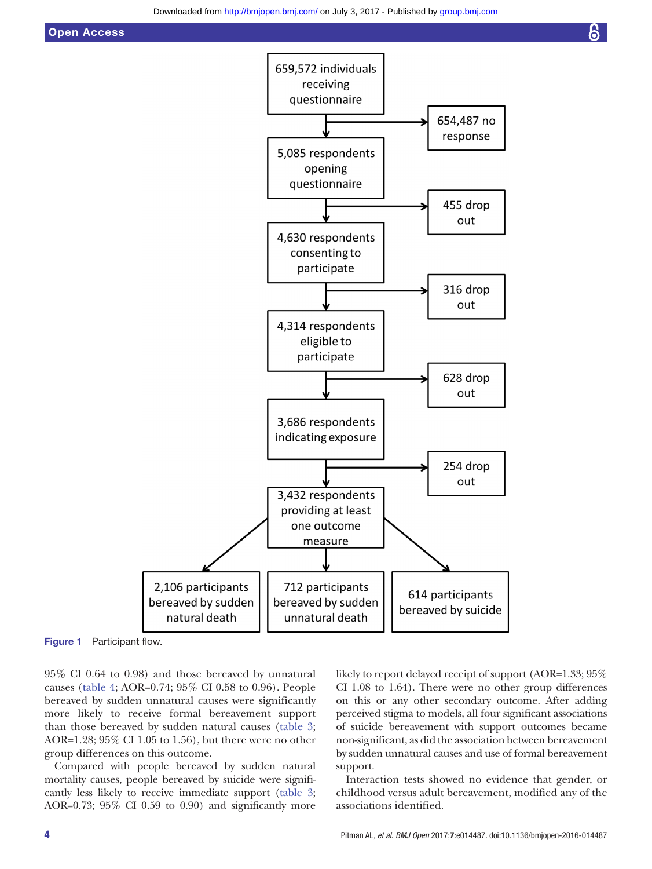

Figure 1 Participant flow.

95% CI 0.64 to 0.98) and those bereaved by unnatural causes ([table](#page-9-0) 4; AOR=0.74; 95% CI 0.58 to 0.96). People bereaved by sudden unnatural causes were significantly more likely to receive formal bereavement support than those bereaved by sudden natural causes [\(table](#page-8-0) 3; AOR=1.28; 95% CI 1.05 to 1.56), but there were no other group differences on this outcome.

Compared with people bereaved by sudden natural mortality causes, people bereaved by suicide were significantly less likely to receive immediate support [\(table](#page-8-0) 3; AOR=0.73; 95% CI 0.59 to 0.90) and significantly more

<span id="page-3-0"></span>likely to report delayed receipt of support (AOR=1.33; 95% CI 1.08 to 1.64). There were no other group differences on this or any other secondary outcome. After adding perceived stigma to models, all four significant associations of suicide bereavement with support outcomes became non-significant, as did the association between bereavement by sudden unnatural causes and use of formal bereavement support.

Interaction tests showed no evidence that gender, or childhood versus adult bereavement, modified any of the associations identified.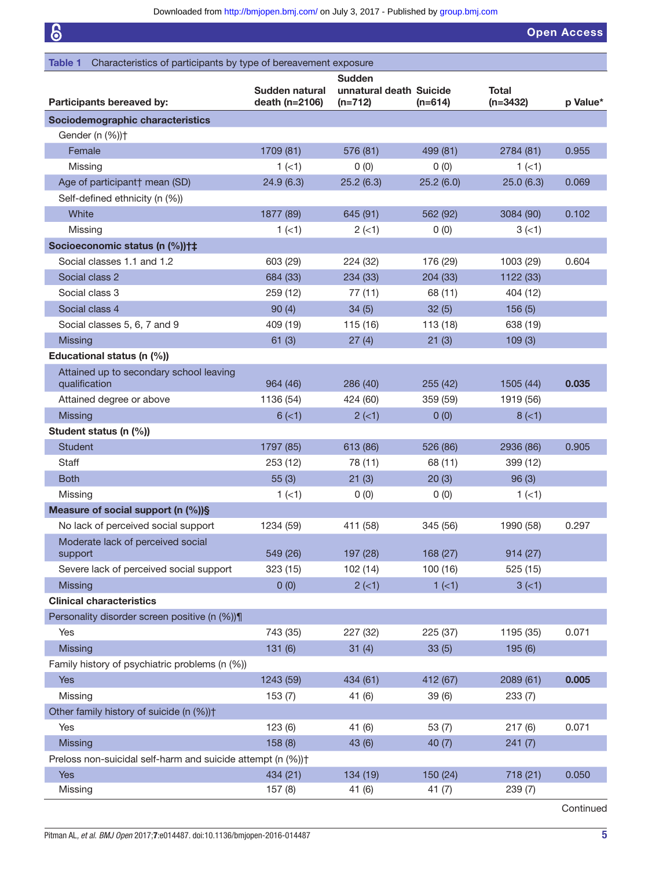$\overline{\phantom{a}}$ 

<span id="page-4-0"></span>

| 6                                                                          |                |                                          |           |              | <b>Open Access</b> |
|----------------------------------------------------------------------------|----------------|------------------------------------------|-----------|--------------|--------------------|
| Characteristics of participants by type of bereavement exposure<br>Table 1 |                |                                          |           |              |                    |
|                                                                            | Sudden natural | <b>Sudden</b><br>unnatural death Suicide |           | <b>Total</b> |                    |
| Participants bereaved by:                                                  | death (n=2106) | $(n=712)$                                | $(n=614)$ | $(n=3432)$   | p Value*           |
| Sociodemographic characteristics                                           |                |                                          |           |              |                    |
| Gender (n (%))+                                                            |                |                                          |           |              |                    |
| Female                                                                     | 1709 (81)      | 576 (81)                                 | 499 (81)  | 2784 (81)    | 0.955              |
| Missing                                                                    | 1(1)           | 0(0)                                     | 0(0)      | 1(1)         |                    |
| Age of participant† mean (SD)                                              | 24.9(6.3)      | 25.2(6.3)                                | 25.2(6.0) | 25.0(6.3)    | 0.069              |
| Self-defined ethnicity (n (%))                                             |                |                                          |           |              |                    |
| White                                                                      | 1877 (89)      | 645 (91)                                 | 562 (92)  | 3084 (90)    | 0.102              |
| Missing                                                                    | 1(1)           | 2(1)                                     | 0(0)      | 3(1)         |                    |
| Socioeconomic status (n (%))†‡                                             |                |                                          |           |              |                    |
| Social classes 1.1 and 1.2                                                 | 603 (29)       | 224 (32)                                 | 176 (29)  | 1003 (29)    | 0.604              |
| Social class 2                                                             | 684 (33)       | 234 (33)                                 | 204 (33)  | 1122 (33)    |                    |
| Social class 3                                                             | 259 (12)       | 77(11)                                   | 68 (11)   | 404 (12)     |                    |
| Social class 4                                                             | 90(4)          | 34(5)                                    | 32(5)     | 156(5)       |                    |
| Social classes 5, 6, 7 and 9                                               | 409 (19)       | 115 (16)                                 | 113 (18)  | 638 (19)     |                    |
| <b>Missing</b>                                                             | 61(3)          | 27(4)                                    | 21(3)     | 109(3)       |                    |
| Educational status (n (%))                                                 |                |                                          |           |              |                    |
| Attained up to secondary school leaving                                    |                |                                          |           |              |                    |
| qualification                                                              | 964 (46)       | 286 (40)                                 | 255(42)   | 1505 (44)    | 0.035              |
| Attained degree or above                                                   | 1136 (54)      | 424 (60)                                 | 359 (59)  | 1919 (56)    |                    |
| <b>Missing</b>                                                             | $6 (=1)$       | $2$ ( $<$ 1)                             | 0(0)      | $8 (=1)$     |                    |
| Student status (n (%))                                                     |                |                                          |           |              |                    |
| <b>Student</b>                                                             | 1797 (85)      | 613 (86)                                 | 526 (86)  | 2936 (86)    | 0.905              |
| Staff                                                                      | 253 (12)       | 78 (11)                                  | 68 (11)   | 399 (12)     |                    |
| <b>Both</b>                                                                | 55(3)          | 21(3)                                    | 20(3)     | 96(3)        |                    |
| Missing                                                                    | $1$ (<1)       | 0(0)                                     | 0(0)      | $1$ (<1)     |                    |
| Measure of social support (n (%))§                                         |                |                                          |           |              |                    |
| No lack of perceived social support                                        | 1234 (59)      | 411 (58)                                 | 345 (56)  | 1990 (58)    | 0.297              |
| Moderate lack of perceived social                                          |                |                                          |           |              |                    |
| support                                                                    | 549 (26)       | 197 (28)                                 | 168 (27)  | 914(27)      |                    |
| Severe lack of perceived social support                                    | 323 (15)       | 102(14)                                  | 100 (16)  | 525 (15)     |                    |
| <b>Missing</b>                                                             | 0(0)           | $2$ (<1)                                 | $1 (=1)$  | $3(-1)$      |                    |
| <b>Clinical characteristics</b>                                            |                |                                          |           |              |                    |
| Personality disorder screen positive (n (%))¶                              |                |                                          |           |              |                    |
| Yes                                                                        | 743 (35)       | 227 (32)                                 | 225 (37)  | 1195 (35)    | 0.071              |
| <b>Missing</b>                                                             | 131(6)         | 31(4)                                    | 33(5)     | 195(6)       |                    |
| Family history of psychiatric problems (n (%))                             |                |                                          |           |              |                    |
| <b>Yes</b>                                                                 | 1243 (59)      | 434 (61)                                 | 412 (67)  | 2089 (61)    | 0.005              |
| Missing                                                                    | 153(7)         | 41 (6)                                   | 39(6)     | 233(7)       |                    |
| Other family history of suicide (n (%)) <sup>+</sup>                       |                |                                          |           |              |                    |
| Yes                                                                        | 123(6)         | 41(6)                                    | 53(7)     | 217(6)       | 0.071              |
| <b>Missing</b>                                                             | 158(8)         | 43 (6)                                   | 40(7)     | 241(7)       |                    |
| Preloss non-suicidal self-harm and suicide attempt (n (%)) <sup>+</sup>    |                |                                          |           |              |                    |
| Yes                                                                        | 434 (21)       | 134 (19)                                 | 150 (24)  | 718 (21)     | 0.050              |
| Missing                                                                    | 157(8)         | 41(6)                                    | 41(7)     | 239 (7)      |                    |

Continued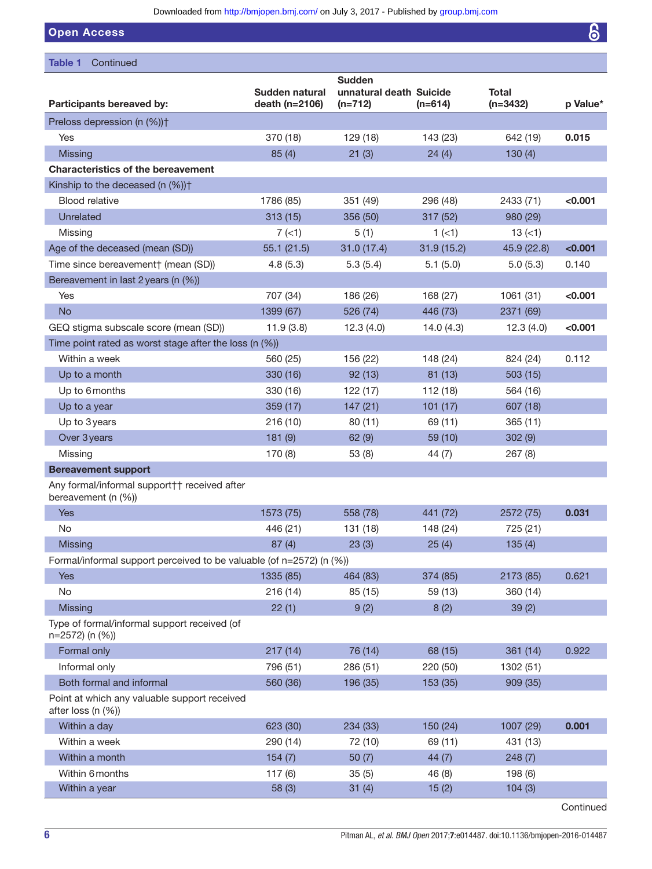Downloaded from<http://bmjopen.bmj.com/>on July 3, 2017 - Published by [group.bmj.com](http://group.bmj.com)

Open Access

| Table 1<br>Continued                                                 |                                  |                                                       |            |                            |          |
|----------------------------------------------------------------------|----------------------------------|-------------------------------------------------------|------------|----------------------------|----------|
| Participants bereaved by:                                            | Sudden natural<br>death (n=2106) | <b>Sudden</b><br>unnatural death Suicide<br>$(n=712)$ | $(n=614)$  | <b>Total</b><br>$(n=3432)$ | p Value* |
| Preloss depression (n (%)) <sup>+</sup>                              |                                  |                                                       |            |                            |          |
| Yes                                                                  | 370 (18)                         | 129 (18)                                              | 143 (23)   | 642 (19)                   | 0.015    |
| <b>Missing</b>                                                       | 85(4)                            | 21(3)                                                 | 24(4)      | 130(4)                     |          |
| <b>Characteristics of the bereavement</b>                            |                                  |                                                       |            |                            |          |
| Kinship to the deceased (n (%)) <sup>+</sup>                         |                                  |                                                       |            |                            |          |
| <b>Blood relative</b>                                                | 1786 (85)                        | 351 (49)                                              | 296 (48)   | 2433 (71)                  | < 0.001  |
| Unrelated                                                            | 313(15)                          | 356 (50)                                              | 317 (52)   | 980 (29)                   |          |
| Missing                                                              | 7(1)                             | 5(1)                                                  | 1(1)       | 13(1)                      |          |
| Age of the deceased (mean (SD))                                      | 55.1(21.5)                       | 31.0(17.4)                                            | 31.9(15.2) | 45.9 (22.8)                | < 0.001  |
| Time since bereavement† (mean (SD))                                  | 4.8(5.3)                         | 5.3(5.4)                                              | 5.1(5.0)   | 5.0(5.3)                   | 0.140    |
| Bereavement in last 2 years (n (%))                                  |                                  |                                                       |            |                            |          |
| Yes                                                                  | 707 (34)                         | 186 (26)                                              | 168 (27)   | 1061 (31)                  | < 0.001  |
| <b>No</b>                                                            | 1399 (67)                        | 526 (74)                                              | 446 (73)   | 2371 (69)                  |          |
| GEQ stigma subscale score (mean (SD))                                | 11.9(3.8)                        | 12.3(4.0)                                             | 14.0(4.3)  | 12.3(4.0)                  | < 0.001  |
| Time point rated as worst stage after the loss (n (%))               |                                  |                                                       |            |                            |          |
| Within a week                                                        | 560 (25)                         | 156 (22)                                              | 148 (24)   | 824 (24)                   | 0.112    |
| Up to a month                                                        | 330 (16)                         | 92(13)                                                | 81(13)     | 503(15)                    |          |
| Up to 6 months                                                       | 330 (16)                         | 122(17)                                               | 112 (18)   | 564 (16)                   |          |
| Up to a year                                                         | 359 (17)                         | 147(21)                                               | 101(17)    | 607 (18)                   |          |
| Up to 3 years                                                        | 216(10)                          | 80(11)                                                | 69 (11)    | 365(11)                    |          |
| Over 3 years                                                         | 181(9)                           | 62(9)                                                 | 59 (10)    | 302(9)                     |          |
| Missing                                                              | 170 (8)                          | 53(8)                                                 | 44(7)      | 267(8)                     |          |
| <b>Bereavement support</b>                                           |                                  |                                                       |            |                            |          |
| Any formal/informal support†† received after<br>bereavement (n (%))  |                                  |                                                       |            |                            |          |
| Yes                                                                  | 1573 (75)                        | 558 (78)                                              | 441 (72)   | 2572 (75)                  | 0.031    |
| No                                                                   | 446 (21)                         | 131 (18)                                              | 148 (24)   | 725 (21)                   |          |
| <b>Missing</b>                                                       | 87(4)                            | 23(3)                                                 | 25(4)      | 135(4)                     |          |
| Formal/informal support perceived to be valuable (of n=2572) (n (%)) |                                  |                                                       |            |                            |          |
| Yes                                                                  | 1335 (85)                        | 464 (83)                                              | 374 (85)   | 2173 (85)                  | 0.621    |
| No                                                                   | 216 (14)                         | 85 (15)                                               | 59 (13)    | 360 (14)                   |          |
| <b>Missing</b>                                                       | 22(1)                            | 9(2)                                                  | 8(2)       | 39(2)                      |          |
| Type of formal/informal support received (of<br>n=2572) (n (%))      |                                  |                                                       |            |                            |          |
| Formal only                                                          | 217(14)                          | 76 (14)                                               | 68 (15)    | 361 (14)                   | 0.922    |
| Informal only                                                        | 796 (51)                         | 286 (51)                                              | 220 (50)   | 1302 (51)                  |          |
| Both formal and informal                                             | 560 (36)                         | 196 (35)                                              | 153 (35)   | 909 (35)                   |          |
| Point at which any valuable support received<br>after loss (n (%))   |                                  |                                                       |            |                            |          |
| Within a day                                                         | 623 (30)                         | 234 (33)                                              | 150 (24)   | 1007 (29)                  | 0.001    |
| Within a week                                                        | 290 (14)                         | 72 (10)                                               | 69 (11)    | 431 (13)                   |          |
| Within a month                                                       | 154(7)                           | 50(7)                                                 | 44(7)      | 248(7)                     |          |
| Within 6 months                                                      | 117(6)                           | 35(5)                                                 | 46 (8)     | 198 (6)                    |          |
| Within a year                                                        | 58(3)                            | 31(4)                                                 | 15(2)      | 104(3)                     |          |

Continued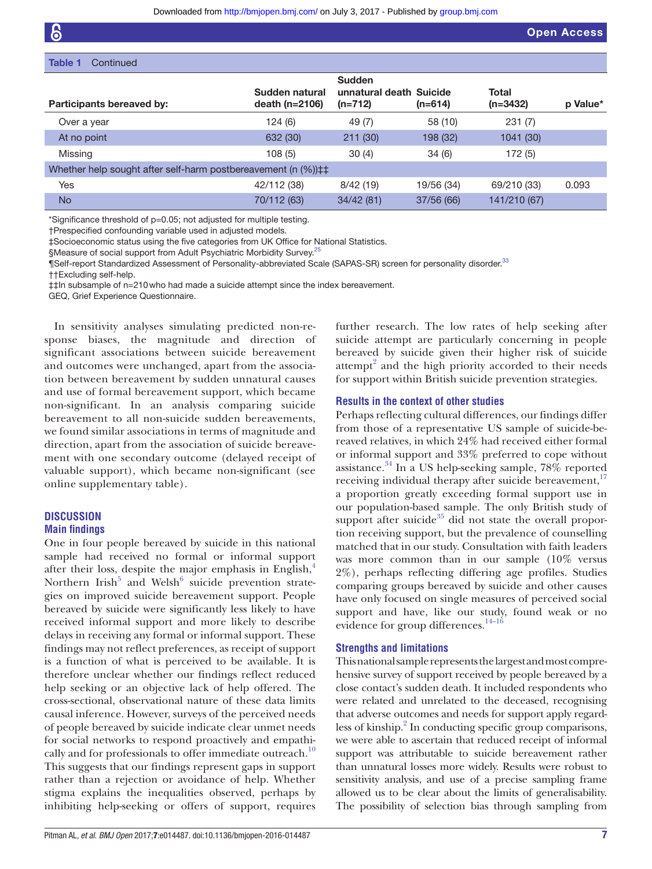| Table 1<br>Continued                                                           |                                    |                                                       |            |                     |          |
|--------------------------------------------------------------------------------|------------------------------------|-------------------------------------------------------|------------|---------------------|----------|
| Participants bereaved by:                                                      | Sudden natural<br>death $(n=2106)$ | <b>Sudden</b><br>unnatural death Suicide<br>$(n=712)$ | $(n=614)$  | Total<br>$(n=3432)$ | p Value* |
| Over a year                                                                    | 124(6)                             | 49 (7)                                                | 58 (10)    | 231 (7)             |          |
| At no point                                                                    | 632 (30)                           | 211(30)                                               | 198 (32)   | 1041 (30)           |          |
| Missing                                                                        | 108(5)                             | 30(4)                                                 | 34(6)      | 172 (5)             |          |
| Whether help sought after self-harm postbereavement (n (%)) $\ddagger\ddagger$ |                                    |                                                       |            |                     |          |
| Yes                                                                            | 42/112 (38)                        | 8/42(19)                                              | 19/56 (34) | 69/210 (33)         | 0.093    |
| <b>No</b>                                                                      | 70/112 (63)                        | 34/42(81)                                             | 37/56 (66) | 141/210 (67)        |          |

\*Significance threshold of p=0.05; not adjusted for multiple testing.

†Prespecified confounding variable used in adjusted models.

‡Socioeconomic status using the five categories from UK Office for National Statistics.

§Measure of social support from Adult Psychiatric Morbidity Survey.<sup>[25](#page-11-14)</sup>

¶Self-report Standardized Assessment of Personality-abbreviated Scale (SAPAS-SR) screen for personality disorder.<sup>[33](#page-11-22)</sup>

††Excluding self-help.

‡‡In subsample of n=210who had made a suicide attempt since the index bereavement.

GEQ, Grief Experience Questionnaire.

In sensitivity analyses simulating predicted non-response biases, the magnitude and direction of significant associations between suicide bereavement and outcomes were unchanged, apart from the association between bereavement by sudden unnatural causes and use of formal bereavement support, which became non-significant. In an analysis comparing suicide bereavement to all non-suicide sudden bereavements, we found similar associations in terms of magnitude and direction, apart from the association of suicide bereavement with one secondary outcome (delayed receipt of valuable support), which became non-significant (see online supplementary table).

# **Discussion Main findings**

One in four people bereaved by suicide in this national sample had received no formal or informal support after their loss, despite the major emphasis in English, $4$ Northern Irish<sup>5</sup> and Welsh<sup>6</sup> suicide prevention strategies on improved suicide bereavement support. People bereaved by suicide were significantly less likely to have received informal support and more likely to describe delays in receiving any formal or informal support. These findings may not reflect preferences, as receipt of support is a function of what is perceived to be available. It is therefore unclear whether our findings reflect reduced help seeking or an objective lack of help offered. The cross-sectional, observational nature of these data limits causal inference. However, surveys of the perceived needs of people bereaved by suicide indicate clear unmet needs for social networks to respond proactively and empathi-cally and for professionals to offer immediate outreach.<sup>[10](#page-11-3)</sup> This suggests that our findings represent gaps in support rather than a rejection or avoidance of help. Whether stigma explains the inequalities observed, perhaps by inhibiting help-seeking or offers of support, requires

Pitman AL*, et al*. *BMJ Open* 2017;7:e014487. doi:10.1136/bmjopen-2016-014487 7

further research. The low rates of help seeking after suicide attempt are particularly concerning in people bereaved by suicide given their higher risk of suicide attempt $2$  and the high priority accorded to their needs for support within British suicide prevention strategies.

#### **Results in the context of other studies**

Perhaps reflecting cultural differences, our findings differ from those of a representative US sample of suicide-bereaved relatives, in which 24% had received either formal or informal support and 33% preferred to cope without assistance.[34](#page-11-25) In a US help-seeking sample, 78% reported receiving individual therapy after suicide bereavement, $17$ a proportion greatly exceeding formal support use in our population-based sample. The only British study of support after suicide $35$  did not state the overall proportion receiving support, but the prevalence of counselling matched that in our study. Consultation with faith leaders was more common than in our sample (10% versus 2%), perhaps reflecting differing age profiles. Studies comparing groups bereaved by suicide and other causes have only focused on single measures of perceived social support and have, like our study, found weak or no evidence for group differences. $14-16$ 

# **Strengths and limitations**

This national sample represents the largest and most comprehensive survey of support received by people bereaved by a close contact's sudden death. It included respondents who were related and unrelated to the deceased, recognising that adverse outcomes and needs for support apply regardless of kinship.<sup>2</sup> In conducting specific group comparisons, we were able to ascertain that reduced receipt of informal support was attributable to suicide bereavement rather than unnatural losses more widely. Results were robust to sensitivity analysis, and use of a precise sampling frame allowed us to be clear about the limits of generalisability. The possibility of selection bias through sampling from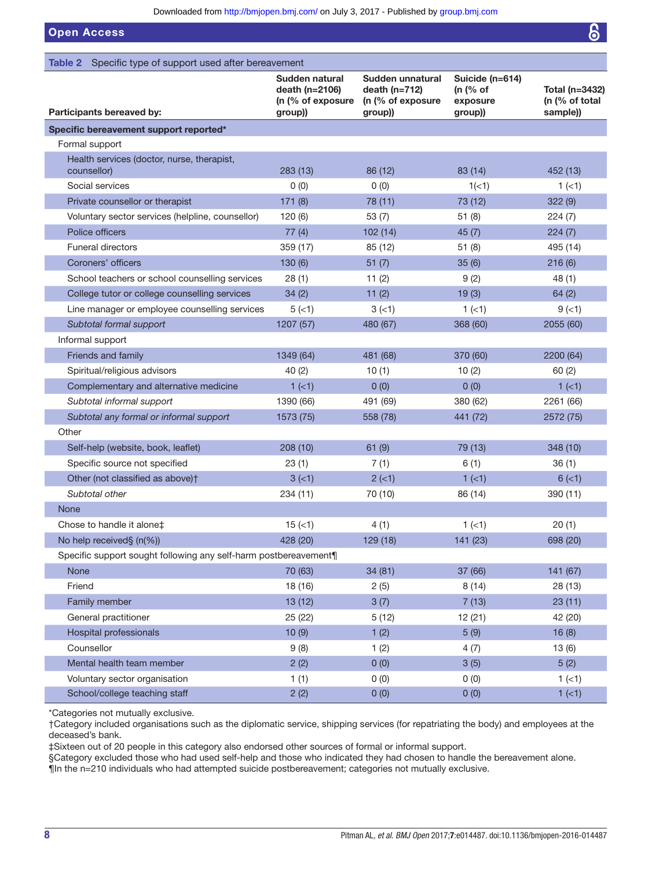Open Access

<span id="page-7-0"></span>

| Specific type of support used after bereavement<br>Table 2       |                                                                  |                                                                     |                                                      |                                              |
|------------------------------------------------------------------|------------------------------------------------------------------|---------------------------------------------------------------------|------------------------------------------------------|----------------------------------------------|
| Participants bereaved by:                                        | Sudden natural<br>death (n=2106)<br>(n (% of exposure<br>group)) | Sudden unnatural<br>death $(n=712)$<br>(n (% of exposure<br>group)) | Suicide (n=614)<br>(n $(%$ of<br>exposure<br>group)) | Total (n=3432)<br>(n (% of total<br>sample)) |
| Specific bereavement support reported*                           |                                                                  |                                                                     |                                                      |                                              |
| Formal support                                                   |                                                                  |                                                                     |                                                      |                                              |
| Health services (doctor, nurse, therapist,<br>counsellor)        | 283(13)                                                          | 86 (12)                                                             | 83 (14)                                              | 452 (13)                                     |
| Social services                                                  | 0(0)                                                             | 0(0)                                                                | 1(<1)                                                | 1(1)                                         |
| Private counsellor or therapist                                  | 171(8)                                                           | 78 (11)                                                             | 73 (12)                                              | 322(9)                                       |
| Voluntary sector services (helpline, counsellor)                 | 120(6)                                                           | 53(7)                                                               | 51(8)                                                | 224(7)                                       |
| Police officers                                                  | 77(4)                                                            | 102(14)                                                             | 45(7)                                                | 224(7)                                       |
| <b>Funeral directors</b>                                         | 359 (17)                                                         | 85 (12)                                                             | 51(8)                                                | 495 (14)                                     |
| Coroners' officers                                               | 130(6)                                                           | 51(7)                                                               | 35(6)                                                | 216(6)                                       |
| School teachers or school counselling services                   | 28(1)                                                            | 11 $(2)$                                                            | 9(2)                                                 | 48 (1)                                       |
| College tutor or college counselling services                    | 34(2)                                                            | 11(2)                                                               | 19(3)                                                | 64(2)                                        |
| Line manager or employee counselling services                    | 5(1)                                                             | 3(1)                                                                | $1$ ( $<$ 1)                                         | $9(-1)$                                      |
| Subtotal formal support                                          | 1207 (57)                                                        | 480 (67)                                                            | 368 (60)                                             | 2055 (60)                                    |
| Informal support                                                 |                                                                  |                                                                     |                                                      |                                              |
| Friends and family                                               | 1349 (64)                                                        | 481 (68)                                                            | 370 (60)                                             | 2200 (64)                                    |
| Spiritual/religious advisors                                     | 40(2)                                                            | 10(1)                                                               | 10(2)                                                | 60(2)                                        |
| Complementary and alternative medicine                           | $1$ (<1)                                                         | 0(0)                                                                | 0(0)                                                 | $1$ (<1)                                     |
| Subtotal informal support                                        | 1390 (66)                                                        | 491 (69)                                                            | 380 (62)                                             | 2261 (66)                                    |
| Subtotal any formal or informal support                          | 1573 (75)                                                        | 558 (78)                                                            | 441 (72)                                             | 2572 (75)                                    |
| Other                                                            |                                                                  |                                                                     |                                                      |                                              |
| Self-help (website, book, leaflet)                               | 208 (10)                                                         | 61(9)                                                               | 79 (13)                                              | 348 (10)                                     |
| Specific source not specified                                    | 23(1)                                                            | 7(1)                                                                | 6(1)                                                 | 36(1)                                        |
| Other (not classified as above) <sup>†</sup>                     | $3(-1)$                                                          | $2 (-1)$                                                            | $1$ (<1)                                             | 6( < 1)                                      |
| Subtotal other                                                   | 234 (11)                                                         | 70 (10)                                                             | 86 (14)                                              | 390 (11)                                     |
| None                                                             |                                                                  |                                                                     |                                                      |                                              |
| Chose to handle it alone‡                                        | $15 (=1)$                                                        | 4(1)                                                                | 1(1)                                                 | 20(1)                                        |
| No help received§ (n(%))                                         | 428 (20)                                                         | 129 (18)                                                            | 141 (23)                                             | 698 (20)                                     |
| Specific support sought following any self-harm postbereavement¶ |                                                                  |                                                                     |                                                      |                                              |
| None                                                             | 70 (63)                                                          | 34 (81)                                                             | 37 (66)                                              | 141 (67)                                     |
| Friend                                                           | 18 (16)                                                          | 2(5)                                                                | 8(14)                                                | 28 (13)                                      |
| Family member                                                    | 13 (12)                                                          | 3(7)                                                                | 7(13)                                                | 23(11)                                       |
| General practitioner                                             | 25 (22)                                                          | 5(12)                                                               | 12(21)                                               | 42 (20)                                      |
| Hospital professionals                                           | 10(9)                                                            | 1(2)                                                                | 5(9)                                                 | 16(8)                                        |
| Counsellor                                                       | 9(8)                                                             | 1(2)                                                                | 4(7)                                                 | 13(6)                                        |
| Mental health team member                                        | 2(2)                                                             | 0(0)                                                                | 3(5)                                                 | 5(2)                                         |
| Voluntary sector organisation                                    | 1(1)                                                             | 0(0)                                                                | 0(0)                                                 | $1$ (<1)                                     |
| School/college teaching staff                                    | 2(2)                                                             | 0(0)                                                                | 0(0)                                                 | $1 (=1)$                                     |

\*Categories not mutually exclusive.

†Category included organisations such as the diplomatic service, shipping services (for repatriating the body) and employees at the deceased's bank.

‡Sixteen out of 20 people in this category also endorsed other sources of formal or informal support.

§Category excluded those who had used self-help and those who indicated they had chosen to handle the bereavement alone.

¶In the n=210 individuals who had attempted suicide postbereavement; categories not mutually exclusive.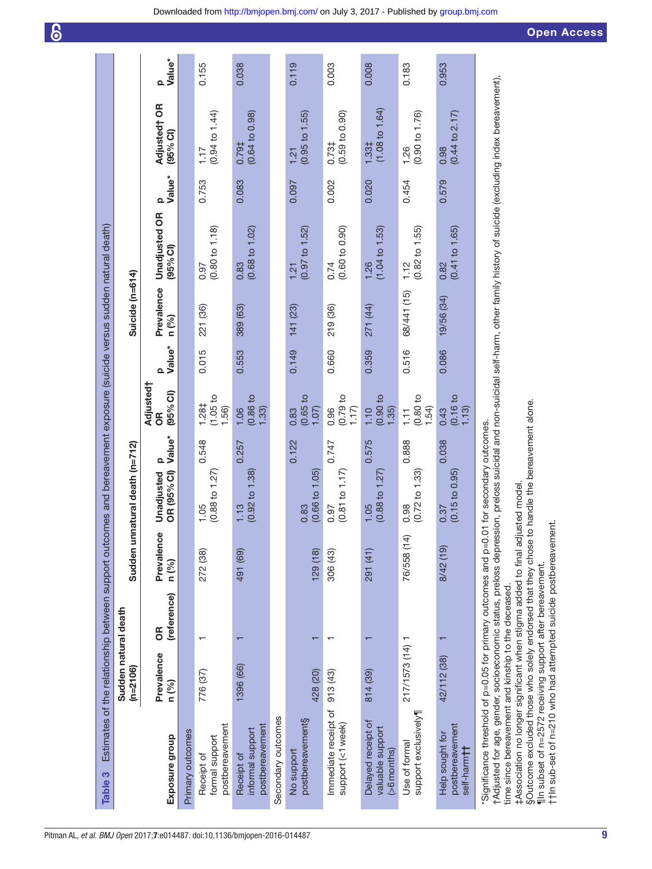| <b>Open Access</b> |  |  |
|--------------------|--|--|
|                    |  |  |

| Table 3                                                                                                                                                                                                                                             |                                    |                   |                     | Estimates of the relationship between support outcomes and bereavement exposure (suicide versus sudden natural death) |                    |                                        |                    |                     |                                             |                         |                                    |                         |
|-----------------------------------------------------------------------------------------------------------------------------------------------------------------------------------------------------------------------------------------------------|------------------------------------|-------------------|---------------------|-----------------------------------------------------------------------------------------------------------------------|--------------------|----------------------------------------|--------------------|---------------------|---------------------------------------------|-------------------------|------------------------------------|-------------------------|
|                                                                                                                                                                                                                                                     | Sudden natural death<br>$(n=2106)$ |                   |                     | Sudden unnatural death (n=712)                                                                                        |                    |                                        |                    | Suicide (n=614)     |                                             |                         |                                    |                         |
| Exposure group                                                                                                                                                                                                                                      | Prevalence<br>n (%)                | (reference)<br>6R | Prevalence<br>n (%) | Q<br>OR (95% CI)<br>Unadjusted                                                                                        | Value <sup>*</sup> | Adjusted†<br>(95% <sup>o</sup> ()<br>8 | Value*<br>$\Omega$ | Prevalence<br>n (%) | <b>Unadjusted OR</b><br>(95% <sub>6</sub> ) | Value <sup>*</sup><br>Q | <b>Adjustedt OR</b><br>$(95%$ CI)  | Value <sup>*</sup><br>Q |
| Primary outcomes                                                                                                                                                                                                                                    |                                    |                   |                     |                                                                                                                       |                    |                                        |                    |                     |                                             |                         |                                    |                         |
| postbereavement<br>formal support<br>Receipt of                                                                                                                                                                                                     | 776 (37)                           |                   | 272 (38)            | $(0.88 \text{ to } 1.27)$<br>1.05                                                                                     | 0.548              | (1.05 to<br>1.28 <sup>‡</sup><br>.56)  | 0.015              | 221 (36)            | $(0.80 \text{ to } 1.18)$<br>0.97           | 0.753                   | $(0.94 \text{ to } 1.44)$<br>1.17  | 0.155                   |
| postbereavement<br>informal support<br>Receipt of                                                                                                                                                                                                   | 1396 (66)                          |                   | 491 (69)            | $(0.92 \text{ to } 1.38)$<br>1.13                                                                                     | 0.257              | (0.86)<br>(33)<br>1.06                 | 0.553              | 389 (63)            | $(0.68 \text{ to } 1.02)$<br>0.83           | 0.083                   | $(0.64 \text{ to } 0.98)$<br>0.79‡ | 0.038                   |
| Secondary outcomes                                                                                                                                                                                                                                  |                                    |                   |                     |                                                                                                                       |                    |                                        |                    |                     |                                             |                         |                                    |                         |
| postbereavement§<br>No support                                                                                                                                                                                                                      | 428 (20)                           | ᠇                 | 129(18)             | $(0.66 \text{ to } 1.05)$<br>0.83                                                                                     | 0.122              | $0.65$ to<br>1.07<br>0.83              | 0.149              | 141 (23)            | $(0.97 \text{ to } 1.52)$<br>1.21           | 0.097                   | (0.95 to 1.55)<br>1.21             | 0.119                   |
| Immediate receipt of<br>support (<1 week)                                                                                                                                                                                                           | 913 (43)                           |                   | 306 (43)            | $(0.81 \text{ to } 1.17)$<br>0.97                                                                                     | 0.747              | 0.79t<br>1.17<br>0.96                  | 0.660              | 219 (36)            | (0.60 to 0.90)<br>0.74                      | 0.002                   | (0.59 to 0.90)<br>0.73‡            | 0.003                   |
| Delayed receipt of<br>valuable support<br>(>6 months)                                                                                                                                                                                               | 814 (39)                           |                   | 291 (41)            | $(0.88 \text{ to } 1.27)$<br>1.05                                                                                     | 0.575              | 0.90 to<br>(35)<br>1.10                | 0.359              | 271 (44)            | $(1.04 \text{ to } 1.53)$<br>1.26           | 0.020                   | $(1.08 \text{ to } 1.64)$<br>1.33‡ | 0.008                   |
| support exclusively<br>Use of formal                                                                                                                                                                                                                | 217/1573 (14) 1                    |                   | 76/558 (14)         | $(0.72 \text{ to } 1.33)$<br>0.98                                                                                     | 0.888              | $(0.80)$ to<br>1.54)<br>$\frac{1}{2}$  | 0.516              | 68/441 (15)         | $(0.82 \text{ to } 1.55)$<br>1.12           | 0.454                   | (0.90 to 1.76)<br>1.26             | 0.183                   |
| postbereavement<br>Help sought for<br>self-harm <b>††</b>                                                                                                                                                                                           | 42/112 (38)                        |                   | 8/42 (19)           | $(0.15 \text{ to } 0.95)$<br>0.37                                                                                     | 0.038              | (0.16 to<br>1.13<br>0.43               | 0.086              | 19/56 (34)          | (0.41 to 1.65)<br>0.82                      | 0.579                   | $(0.44 \text{ to } 2.17)$<br>0.98  | 0.953                   |
| tAdjusted for age, gender, socioeconomic status, preloss depression, preloss suicidal and non-suicidal self-harm, other family history of suicide (excluding index bereavement),<br>"Significance threshold of p=0.05 for primary outcomes and p=0. |                                    |                   |                     | .01 for secondary outcomes.                                                                                           |                    |                                        |                    |                     |                                             |                         |                                    |                         |

time since bereavement and kinship to the deceased.<br>‡Association no longer significant when stigma added to final adjusted model.<br>§Outcome excluded those who solely endorsed that they chose to handle the bereavement alone. time since bereavement and kinship to the deceased.

‡Association no longer significant when stigma added to final adjusted model.

§Outcome excluded those who solely endorsed that they chose to handle the bereavement alone.

<span id="page-8-0"></span>¶In subset of n=2572 receiving support after bereavement.<br>††In sub-set of n=210 who had attempted suicide postbereavement. ¶In subset of n=2572 receiving support after bereavement.

††In sub-set of n=210 who had attempted suicide postbereavement.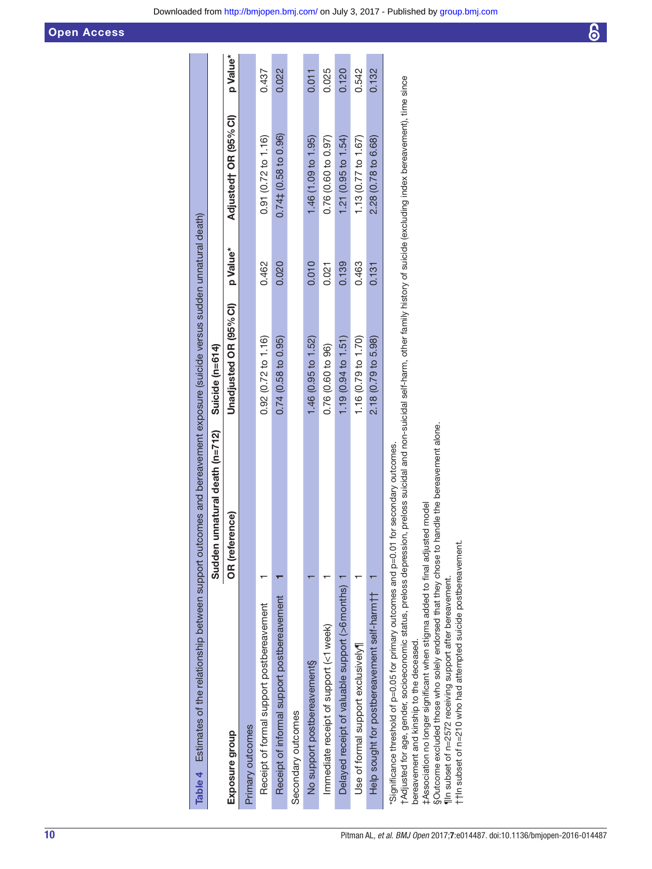| Table 4 Estimates of the relationship between support outcomes and bereavement exposure (suicide versus sudden unnatural death)                                                                                                                                                                                                      |                                   |                               |          |                                              |          |
|--------------------------------------------------------------------------------------------------------------------------------------------------------------------------------------------------------------------------------------------------------------------------------------------------------------------------------------|-----------------------------------|-------------------------------|----------|----------------------------------------------|----------|
|                                                                                                                                                                                                                                                                                                                                      | unnatural death (n=712)<br>Sudden | Suicide (n=614)               |          |                                              |          |
| Exposure group                                                                                                                                                                                                                                                                                                                       | OR (reference)                    | Unadjusted OR (95% CI)        | p Value* | Adjusted† OR (95% CI)                        | p Value* |
| Primary outcomes                                                                                                                                                                                                                                                                                                                     |                                   |                               |          |                                              |          |
| Receipt of formal support postbereavement                                                                                                                                                                                                                                                                                            |                                   | $0.92(0.72 \text{ to } 1.16)$ | 0.462    | 0.91(0.72 to 1.16)                           | 0.437    |
| Receipt of informal support postbereavement                                                                                                                                                                                                                                                                                          |                                   | 0.74(0.58 to 0.95)            | 0.020    | $0.74\texttt{\ddot{1}}(0.58~\text{to}~0.96)$ | 0.022    |
| Secondary outcomes                                                                                                                                                                                                                                                                                                                   |                                   |                               |          |                                              |          |
| No support postbereavement§                                                                                                                                                                                                                                                                                                          |                                   | 1.46 (0.95 to 1.52)           | 0.010    | 1.46 (1.09 to 1.95)                          | 0.011    |
| Immediate receipt of support (<1 week)                                                                                                                                                                                                                                                                                               |                                   | 0.76 (0.60 to 96)             | 0.021    | 0.76 (0.60 to 0.97)                          | 0.025    |
| Delayed receipt of valuable support (>6 months)                                                                                                                                                                                                                                                                                      |                                   | 1.19 (0.94 to 1.51)           | 0.139    | $1.21$ (0.95 to $1.54$ )                     | 0.120    |
| Use of formal support exclusively                                                                                                                                                                                                                                                                                                    |                                   | 1.16 (0.79 to 1.70)           | 0.463    | 1.13 $(0.77$ to 1.67)                        | 0.542    |
| Help sought for postbereavement self-harm +                                                                                                                                                                                                                                                                                          |                                   | 2.18 (0.79 to 5.98)           | 0.131    | 2.28 (0.78 to 6.68)                          | 0.132    |
| tAdjusted for age, gender, socioeconomic status, preloss depression, preloss suicidal and non-suicidal self-harm, other family history of suicide (excluding index bereavement), time since<br>"Significance threshold of p=0.05 for primary outcomes and p=0.01 for secondary outcomes.<br>bereavement and kinship to the deceased. |                                   |                               |          |                                              |          |

‡Association no longer significant when stigma added to final adjusted model

‡Association no longer significant when stigma added to final adjusted model<br>§Outcome excluded those who solely endorsed that they chose to handle the bereavement alone.<br>¶In subset of n=2572 receiving support after bereav §Outcome excluded those who solely endorsed that they chose to handle the bereavement alone.

<span id="page-9-0"></span>¶In subset of n=2572 receiving support after bereavement. ††In subset of n=210 who had attempted suicide postbereavement.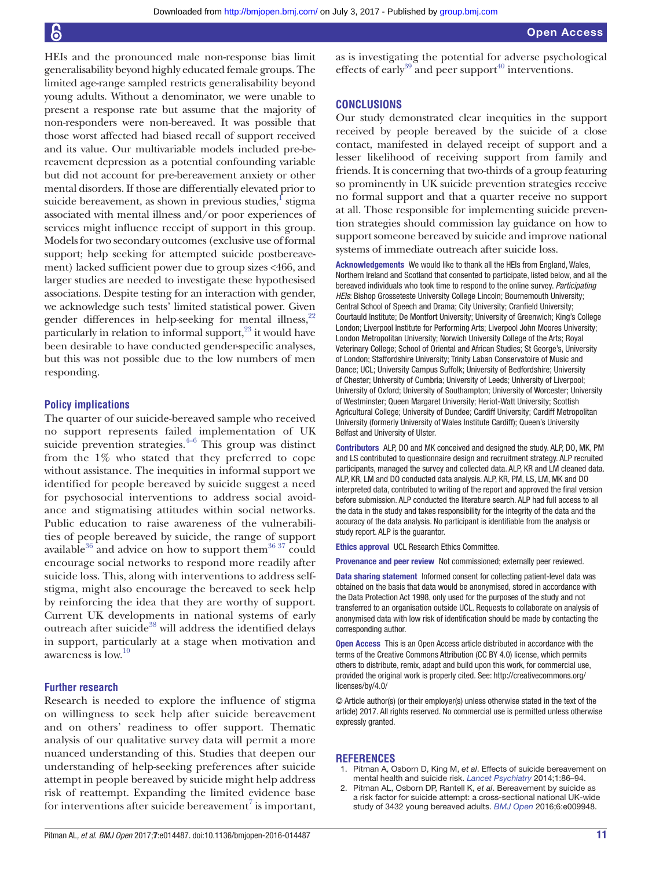HEIs and the pronounced male non-response bias limit generalisability beyond highly educated female groups. The limited age-range sampled restricts generalisability beyond young adults. Without a denominator, we were unable to present a response rate but assume that the majority of non-responders were non-bereaved. It was possible that those worst affected had biased recall of support received and its value. Our multivariable models included pre-bereavement depression as a potential confounding variable but did not account for pre-bereavement anxiety or other mental disorders. If those are differentially elevated prior to suicide bereavement, as shown in previous studies,<sup>I</sup> stigma associated with mental illness and/or poor experiences of services might influence receipt of support in this group. Models for two secondary outcomes (exclusive use of formal support; help seeking for attempted suicide postbereavement) lacked sufficient power due to group sizes <466, and larger studies are needed to investigate these hypothesised associations. Despite testing for an interaction with gender, we acknowledge such tests' limited statistical power. Given gender differences in help-seeking for mental illness, $22$ particularly in relation to informal support, $23$  it would have been desirable to have conducted gender-specific analyses, but this was not possible due to the low numbers of men responding.

# **Policy implications**

The quarter of our suicide-bereaved sample who received no support represents failed implementation of UK suicide prevention strategies. $4-6$  This group was distinct from the 1% who stated that they preferred to cope without assistance. The inequities in informal support we identified for people bereaved by suicide suggest a need for psychosocial interventions to address social avoidance and stigmatising attitudes within social networks. Public education to raise awareness of the vulnerabilities of people bereaved by suicide, the range of support available<sup>36</sup> and advice on how to support them<sup>[36](#page-11-27) 37</sup> could encourage social networks to respond more readily after suicide loss. This, along with interventions to address selfstigma, might also encourage the bereaved to seek help by reinforcing the idea that they are worthy of support. Current UK developments in national systems of early outreach after suicide<sup>38</sup> will address the identified delays in support, particularly at a stage when motivation and awareness is low.[10](#page-11-3)

# **Further research**

Research is needed to explore the influence of stigma on willingness to seek help after suicide bereavement and on others' readiness to offer support. Thematic analysis of our qualitative survey data will permit a more nuanced understanding of this. Studies that deepen our understanding of help-seeking preferences after suicide attempt in people bereaved by suicide might help address risk of reattempt. Expanding the limited evidence base for interventions after suicide bereavement<sup>[7](#page-11-1)</sup> is important, as is investigating the potential for adverse psychological effects of early<sup>[39](#page-11-29)</sup> and peer support<sup>40</sup> interventions.

# **Conclusions**

Our study demonstrated clear inequities in the support received by people bereaved by the suicide of a close contact, manifested in delayed receipt of support and a lesser likelihood of receiving support from family and friends. It is concerning that two-thirds of a group featuring so prominently in UK suicide prevention strategies receive no formal support and that a quarter receive no support at all. Those responsible for implementing suicide prevention strategies should commission lay guidance on how to support someone bereaved by suicide and improve national systems of immediate outreach after suicide loss.

Acknowledgements We would like to thank all the HEIs from England, Wales, Northern Ireland and Scotland that consented to participate, listed below, and all the bereaved individuals who took time to respond to the online survey. *Participating HEIs*: Bishop Grosseteste University College Lincoln; Bournemouth University; Central School of Speech and Drama; City University; Cranfield University; Courtauld Institute; De Montfort University; University of Greenwich; King's College London; Liverpool Institute for Performing Arts; Liverpool John Moores University; London Metropolitan University; Norwich University College of the Arts; Royal Veterinary College; School of Oriental and African Studies; St George's, University of London; Staffordshire University; Trinity Laban Conservatoire of Music and Dance; UCL; University Campus Suffolk; University of Bedfordshire; University of Chester; University of Cumbria; University of Leeds; University of Liverpool; University of Oxford; University of Southampton; University of Worcester; University of Westminster; Queen Margaret University; Heriot-Watt University; Scottish Agricultural College; University of Dundee; Cardiff University; Cardiff Metropolitan University (formerly University of Wales Institute Cardiff); Queen's University Belfast and University of Ulster.

Contributors ALP, DO and MK conceived and designed the study. ALP, DO, MK, PM and LS contributed to questionnaire design and recruitment strategy. ALP recruited participants, managed the survey and collected data. ALP, KR and LM cleaned data. ALP, KR, LM and DO conducted data analysis. ALP, KR, PM, LS, LM, MK and DO interpreted data, contributed to writing of the report and approved the final version before submission. ALP conducted the literature search. ALP had full access to all the data in the study and takes responsibility for the integrity of the data and the accuracy of the data analysis. No participant is identifiable from the analysis or study report. ALP is the guarantor.

Ethics approval UCL Research Ethics Committee.

Provenance and peer review Not commissioned; externally peer reviewed.

Data sharing statement Informed consent for collecting patient-level data was obtained on the basis that data would be anonymised, stored in accordance with the Data Protection Act 1998, only used for the purposes of the study and not transferred to an organisation outside UCL. Requests to collaborate on analysis of anonymised data with low risk of identification should be made by contacting the corresponding author.

Open Access This is an Open Access article distributed in accordance with the terms of the Creative Commons Attribution (CC BY 4.0) license, which permits others to distribute, remix, adapt and build upon this work, for commercial use, provided the original work is properly cited. See: [http://creativecommons.org/](http://creativecommons.org/licenses/by/4.0/) [licenses/by/4.0/](http://creativecommons.org/licenses/by/4.0/)

© Article author(s) (or their employer(s) unless otherwise stated in the text of the article) 2017. All rights reserved. No commercial use is permitted unless otherwise expressly granted.

#### **References**

- <span id="page-10-0"></span>1. Pitman A, Osborn D, King M, *et al*. Effects of suicide bereavement on mental health and suicide risk. *[Lancet Psychiatry](http://dx.doi.org/10.1016/S2215-0366(14)70224-X)* 2014;1:86–94.
- <span id="page-10-1"></span>2. Pitman AL, Osborn DP, Rantell K, *et al*. Bereavement by suicide as a risk factor for suicide attempt: a cross-sectional national UK-wide study of 3432 young bereaved adults. *[BMJ Open](http://dx.doi.org/10.1136/bmjopen-2015-009948)* 2016;6:e009948.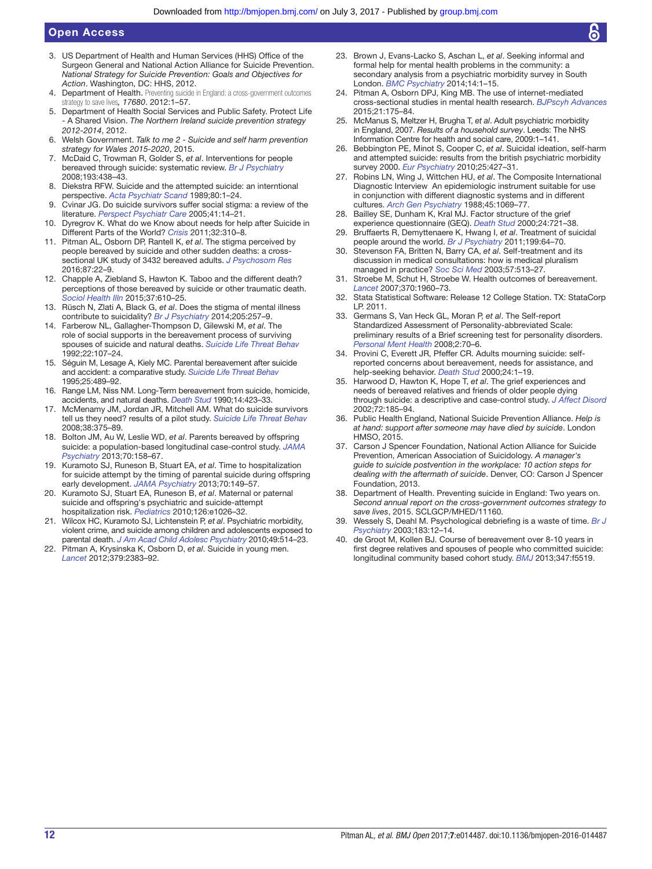# Open Access

- <span id="page-11-0"></span>3. US Department of Health and Human Services (HHS) Office of the Surgeon General and National Action Alliance for Suicide Prevention. *National Strategy for Suicide Prevention: Goals and Objectives for Action*. Washington, DC: HHS, 2012.
- <span id="page-11-12"></span>4. Department of Health. Preventing suicide in England: a cross-government outcomes strategy to save lives*, 17680*. 2012:1–57.
- <span id="page-11-23"></span>5. Department of Health Social Services and Public Safety. Protect Life - A Shared Vision. *The Northern Ireland suicide prevention strategy 2012-2014*, 2012.
- <span id="page-11-24"></span>6. Welsh Government. *Talk to me 2 - Suicide and self harm prevention strategy for Wales 2015-2020*, 2015.
- <span id="page-11-1"></span>7. McDaid C, Trowman R, Golder S, *et al*. Interventions for people bereaved through suicide: systematic review. *[Br J Psychiatry](http://dx.doi.org/10.1192/bjp.bp.107.040824)* 2008;193:438–43.
- <span id="page-11-2"></span>8. Diekstra RFW. Suicide and the attempted suicide: an interntional perspective. *[Acta Psychiatr Scand](http://dx.doi.org/10.1111/j.1600-0447.1989.tb03043.x)* 1989;80:1–24.
- <span id="page-11-4"></span>9. Cvinar JG. Do suicide survivors suffer social stigma: a review of the literature. *[Perspect Psychiatr Care](http://dx.doi.org/10.1111/j.0031-5990.2005.00004.x)* 2005;41:14–21.
- <span id="page-11-3"></span>10. Dyregrov K. What do we Know about needs for help after Suicide in Different Parts of the World? *[Crisis](http://dx.doi.org/10.1027/0227-5910/a000098)* 2011;32:310–8.
- <span id="page-11-5"></span>11. Pitman AL, Osborn DP, Rantell K, *et al*. The stigma perceived by people bereaved by suicide and other sudden deaths: a crosssectional UK study of 3432 bereaved adults. *[J Psychosom Res](http://dx.doi.org/10.1016/j.jpsychores.2016.05.009)* 2016;87:22–9.
- 12. Chapple A, Ziebland S, Hawton K. Taboo and the different death? perceptions of those bereaved by suicide or other traumatic death. *[Sociol Health Illn](http://dx.doi.org/10.1111/1467-9566.12224)* 2015;37:610–25.
- <span id="page-11-6"></span>13. Rüsch N, Zlati A, Black G, *et al*. Does the stigma of mental illness contribute to suicidality? *[Br J Psychiatry](http://dx.doi.org/10.1192/bjp.bp.114.145755)* 2014;205:257–9.
- <span id="page-11-7"></span>14. Farberow NL, Gallagher-Thompson D, Gilewski M, *et al*. The role of social supports in the bereavement process of surviving spouses of suicide and natural deaths. *Suicide Life Threat Behav* 1992;22:107–24.
- 15. Séguin M, Lesage A, Kiely MC. Parental bereavement after suicide and accident: a comparative study. *Suicide Life Threat Behav* 1995;25:489–92.
- 16. Range LM, Niss NM. Long-Term bereavement from suicide, homicide, accidents, and natural deaths. *[Death Stud](http://dx.doi.org/10.1080/07481189008252382)* 1990;14:423–33.
- <span id="page-11-8"></span>17. McMenamy JM, Jordan JR, Mitchell AM. What do suicide survivors tell us they need? results of a pilot study. *[Suicide Life Threat Behav](http://dx.doi.org/10.1521/suli.2008.38.4.375)* 2008;38:375–89.
- <span id="page-11-9"></span>18. Bolton JM, Au W, Leslie WD, *et al*. Parents bereaved by offspring suicide: a population-based longitudinal case-control study. *[JAMA](http://dx.doi.org/10.1001/jamapsychiatry.2013.275)  [Psychiatry](http://dx.doi.org/10.1001/jamapsychiatry.2013.275)* 2013;70:158–67.
- 19. Kuramoto SJ, Runeson B, Stuart EA, *et al*. Time to hospitalization for suicide attempt by the timing of parental suicide during offspring early development. *[JAMA Psychiatry](http://dx.doi.org/10.1001/jamapsychiatry.2013.274)* 2013;70:149–57.
- 20. Kuramoto SJ, Stuart EA, Runeson B, *et al*. Maternal or paternal suicide and offspring's psychiatric and suicide-attempt hospitalization risk. *[Pediatrics](http://dx.doi.org/10.1542/peds.2010-0974)* 2010;126:e1026–32.
- 21. Wilcox HC, Kuramoto SJ, Lichtenstein P, *et al*. Psychiatric morbidity, violent crime, and suicide among children and adolescents exposed to parental death. *J Am Acad Child Adolesc Psychiatry* 2010;49:514–23.
- <span id="page-11-10"></span>22. Pitman A, Krysinska K, Osborn D, *et al*. Suicide in young men. *[Lancet](http://dx.doi.org/10.1016/S0140-6736(12)60731-4)* 2012;379:2383–92.
- <span id="page-11-11"></span>Brown J, Evans-Lacko S, Aschan L, et al. Seeking informal and formal help for mental health problems in the community: a secondary analysis from a psychiatric morbidity survey in South London. *[BMC Psychiatry](http://dx.doi.org/10.1186/s12888-014-0275-y)* 2014;14:1–15.
- <span id="page-11-13"></span>24. Pitman A, Osborn DPJ, King MB. The use of internet-mediated cross-sectional studies in mental health research. *[BJPscyh Advances](http://dx.doi.org/10.1192/apt.bp.114.012948)* 2015;21:175–84.
- <span id="page-11-14"></span>25. McManus S, Meltzer H, Brugha T, *et al*. Adult psychiatric morbidity in England, 2007. *Results of a household survey*. Leeds: The NHS Information Centre for health and social care, 2009:1–141.
- <span id="page-11-15"></span>26. Bebbington PE, Minot S, Cooper C, *et al*. Suicidal ideation, self-harm and attempted suicide: results from the british psychiatric morbidity survey 2000. *[Eur Psychiatry](http://dx.doi.org/10.1016/j.eurpsy.2009.12.004)* 2010;25:427–31.
- <span id="page-11-16"></span>27. Robins LN, Wing J, Wittchen HU, *et al*. The Composite International Diagnostic Interview An epidemiologic instrument suitable for use in conjunction with different diagnostic systems and in different cultures. *Arch Gen Psychiatry* 1988;45:1069–77.
- <span id="page-11-17"></span>Bailley SE, Dunham K, Kral MJ. Factor structure of the grief experience questionnaire (GEQ). *[Death Stud](http://dx.doi.org/10.1080/074811800750036596)* 2000;24:721–38.
- <span id="page-11-18"></span>29. Bruffaerts R, Demyttenaere K, Hwang I, *et al*. Treatment of suicidal people around the world. *[Br J Psychiatry](http://dx.doi.org/10.1192/bjp.bp.110.084129)* 2011;199:64–70.
- <span id="page-11-19"></span>30. Stevenson FA, Britten N, Barry CA, *et al*. Self-treatment and its discussion in medical consultations: how is medical pluralism managed in practice? *[Soc Sci Med](http://dx.doi.org/10.1016/S0277-9536(02)00377-5)* 2003;57:513–27.
- <span id="page-11-20"></span>31. Stroebe M, Schut H, Stroebe W. Health outcomes of bereavement. *[Lancet](http://dx.doi.org/10.1016/S0140-6736(07)61816-9)* 2007;370:1960–73.
- <span id="page-11-21"></span>32. Stata Statistical Software: Release 12 College Station. TX: StataCorp LP. 2011.
- <span id="page-11-22"></span>33. Germans S, Van Heck GL, Moran P, *et al*. The Self-report Standardized Assessment of Personality-abbreviated Scale: preliminary results of a Brief screening test for personality disorders. *[Personal Ment Health](http://dx.doi.org/10.1002/pmh.34)* 2008;2:70–6.
- <span id="page-11-25"></span>34. Provini C, Everett JR, Pfeffer CR. Adults mourning suicide: selfreported concerns about bereavement, needs for assistance, and help-seeking behavior. *[Death Stud](http://dx.doi.org/10.1080/074811800200667)* 2000;24:1–19.
- <span id="page-11-26"></span>35. Harwood D, Hawton K, Hope T, *et al*. The grief experiences and needs of bereaved relatives and friends of older people dying through suicide: a descriptive and case-control study. *[J Affect Disord](http://dx.doi.org/10.1016/S0165-0327(01)00462-1)* 2002;72:185–94.
- <span id="page-11-27"></span>36. Public Health England, National Suicide Prevention Alliance. *Help is at hand: support after someone may have died by suicide*. London HMSO, 2015.
- 37. Carson J Spencer Foundation, National Action Alliance for Suicide Prevention, American Association of Suicidology. *A manager's guide to suicide postvention in the workplace: 10 action steps for dealing with the aftermath of suicide*. Denver, CO: Carson J Spencer Foundation, 2013.
- <span id="page-11-28"></span>38. Department of Health. Preventing suicide in England: Two years on. *Second annual report on the cross-government outcomes strategy to save lives*, 2015. SCLGCP/MHED/11160.
- <span id="page-11-29"></span>39. Wessely S, Deahl M. Psychological debriefing is a waste of time. *[Br J](http://dx.doi.org/10.1192/bjp.183.1.12)  [Psychiatry](http://dx.doi.org/10.1192/bjp.183.1.12)* 2003;183:12–14.
- <span id="page-11-30"></span>40. de Groot M, Kollen BJ. Course of bereavement over 8-10 years in first degree relatives and spouses of people who committed suicide: longitudinal community based cohort study. *[BMJ](http://dx.doi.org/10.1136/bmj.f5519)* 2013;347:f5519.